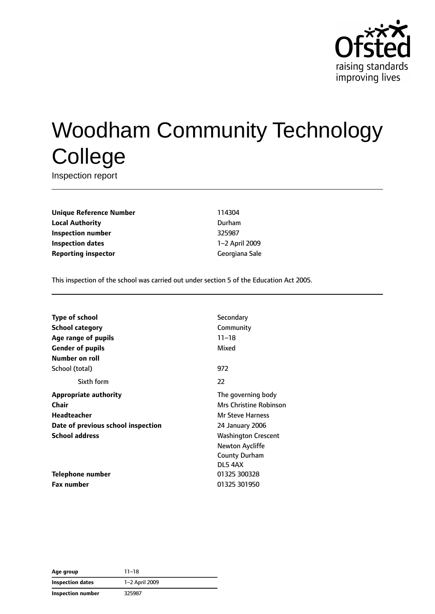

# Woodham Community Technology **College**

Inspection report

**Unique Reference Number** 114304 **Local Authority** Durham **Inspection number** 325987 **Inspection dates** 1–2 April 2009 **Reporting inspector** Georgiana Sale

This inspection of the school was carried out under section 5 of the Education Act 2005.

| Secondary                     |
|-------------------------------|
| Community                     |
| $11 - 18$                     |
| Mixed                         |
|                               |
| 972                           |
| 22                            |
| The governing body            |
| <b>Mrs Christine Robinson</b> |
| <b>Mr Steve Harness</b>       |
| 24 January 2006               |
| <b>Washington Crescent</b>    |
| Newton Aycliffe               |
| <b>County Durham</b>          |
| DL5 4AX                       |
| 01325 300328                  |
| 01325 301950                  |
|                               |

**Age group** 11–18 **Inspection dates** 1–2 April 2009 **Inspection number** 325987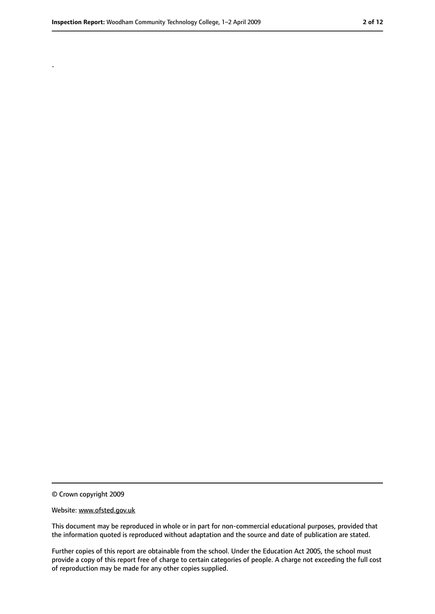.

<sup>©</sup> Crown copyright 2009

Website: www.ofsted.gov.uk

This document may be reproduced in whole or in part for non-commercial educational purposes, provided that the information quoted is reproduced without adaptation and the source and date of publication are stated.

Further copies of this report are obtainable from the school. Under the Education Act 2005, the school must provide a copy of this report free of charge to certain categories of people. A charge not exceeding the full cost of reproduction may be made for any other copies supplied.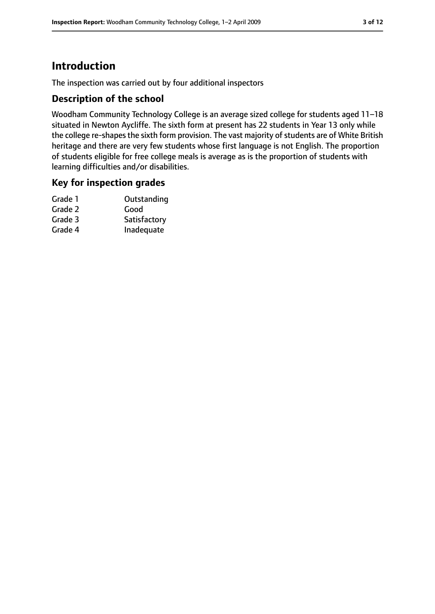# **Introduction**

The inspection was carried out by four additional inspectors

## **Description of the school**

Woodham Community Technology College is an average sized college for students aged 11–18 situated in Newton Aycliffe. The sixth form at present has 22 students in Year 13 only while the college re-shapes the sixth form provision. The vast majority of students are of White British heritage and there are very few students whose first language is not English. The proportion of students eligible for free college meals is average as is the proportion of students with learning difficulties and/or disabilities.

## **Key for inspection grades**

| Grade 1 | Outstanding  |
|---------|--------------|
| Grade 2 | Good         |
| Grade 3 | Satisfactory |
| Grade 4 | Inadequate   |
|         |              |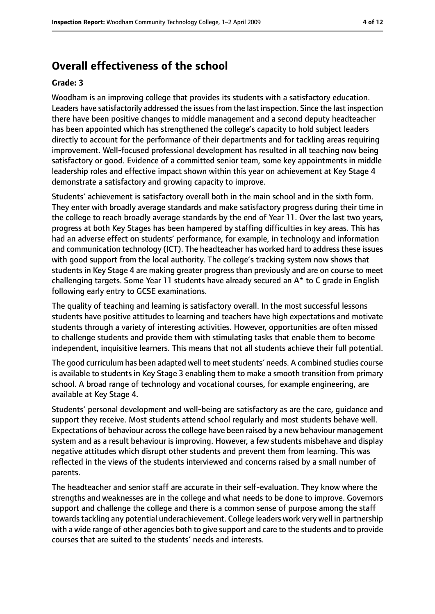# **Overall effectiveness of the school**

#### **Grade: 3**

Woodham is an improving college that provides its students with a satisfactory education. Leaders have satisfactorily addressed the issues from the last inspection. Since the last inspection there have been positive changes to middle management and a second deputy headteacher has been appointed which has strengthened the college's capacity to hold subject leaders directly to account for the performance of their departments and for tackling areas requiring improvement. Well-focused professional development has resulted in all teaching now being satisfactory or good. Evidence of a committed senior team, some key appointments in middle leadership roles and effective impact shown within this year on achievement at Key Stage 4 demonstrate a satisfactory and growing capacity to improve.

Students' achievement is satisfactory overall both in the main school and in the sixth form. They enter with broadly average standards and make satisfactory progress during their time in the college to reach broadly average standards by the end of Year 11. Over the last two years, progress at both Key Stages has been hampered by staffing difficulties in key areas. This has had an adverse effect on students' performance, for example, in technology and information and communication technology (ICT). The headteacher has worked hard to address these issues with good support from the local authority. The college's tracking system now shows that students in Key Stage 4 are making greater progress than previously and are on course to meet challenging targets. Some Year 11 students have already secured an A\* to C grade in English following early entry to GCSE examinations.

The quality of teaching and learning is satisfactory overall. In the most successful lessons students have positive attitudes to learning and teachers have high expectations and motivate students through a variety of interesting activities. However, opportunities are often missed to challenge students and provide them with stimulating tasks that enable them to become independent, inquisitive learners. This means that not all students achieve their full potential.

The good curriculum has been adapted well to meet students' needs. A combined studies course is available to students in Key Stage 3 enabling them to make a smooth transition from primary school. A broad range of technology and vocational courses, for example engineering, are available at Key Stage 4.

Students' personal development and well-being are satisfactory as are the care, guidance and support they receive. Most students attend school regularly and most students behave well. Expectations of behaviour acrossthe college have been raised by a new behaviour management system and as a result behaviour is improving. However, a few students misbehave and display negative attitudes which disrupt other students and prevent them from learning. This was reflected in the views of the students interviewed and concerns raised by a small number of parents.

The headteacher and senior staff are accurate in their self-evaluation. They know where the strengths and weaknesses are in the college and what needs to be done to improve. Governors support and challenge the college and there is a common sense of purpose among the staff towards tackling any potential underachievement. College leaders work very well in partnership with a wide range of other agencies both to give support and care to the students and to provide courses that are suited to the students' needs and interests.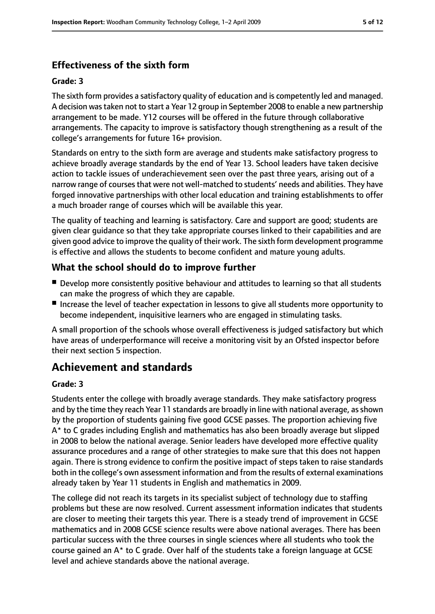# **Effectiveness of the sixth form**

#### **Grade: 3**

The sixth form provides a satisfactory quality of education and is competently led and managed. A decision wastaken not to start a Year 12 group in September 2008 to enable a new partnership arrangement to be made. Y12 courses will be offered in the future through collaborative arrangements. The capacity to improve is satisfactory though strengthening as a result of the college's arrangements for future 16+ provision.

Standards on entry to the sixth form are average and students make satisfactory progress to achieve broadly average standards by the end of Year 13. School leaders have taken decisive action to tackle issues of underachievement seen over the past three years, arising out of a narrow range of courses that were not well-matched to students' needs and abilities. They have forged innovative partnerships with other local education and training establishments to offer a much broader range of courses which will be available this year.

The quality of teaching and learning is satisfactory. Care and support are good; students are given clear guidance so that they take appropriate courses linked to their capabilities and are given good advice to improve the quality of their work. The sixth form development programme is effective and allows the students to become confident and mature young adults.

## **What the school should do to improve further**

- Develop more consistently positive behaviour and attitudes to learning so that all students can make the progress of which they are capable.
- Increase the level of teacher expectation in lessons to give all students more opportunity to become independent, inquisitive learners who are engaged in stimulating tasks.

A small proportion of the schools whose overall effectiveness is judged satisfactory but which have areas of underperformance will receive a monitoring visit by an Ofsted inspector before their next section 5 inspection.

# **Achievement and standards**

#### **Grade: 3**

Students enter the college with broadly average standards. They make satisfactory progress and by the time they reach Year 11 standards are broadly in line with national average, as shown by the proportion of students gaining five good GCSE passes. The proportion achieving five A\* to C grades including English and mathematics has also been broadly average but slipped in 2008 to below the national average. Senior leaders have developed more effective quality assurance procedures and a range of other strategies to make sure that this does not happen again. There is strong evidence to confirm the positive impact of steps taken to raise standards both in the college's own assessment information and from the results of external examinations already taken by Year 11 students in English and mathematics in 2009.

The college did not reach its targets in its specialist subject of technology due to staffing problems but these are now resolved. Current assessment information indicates that students are closer to meeting their targets this year. There is a steady trend of improvement in GCSE mathematics and in 2008 GCSE science results were above national averages. There has been particular success with the three courses in single sciences where all students who took the course gained an A\* to C grade. Over half of the students take a foreign language at GCSE level and achieve standards above the national average.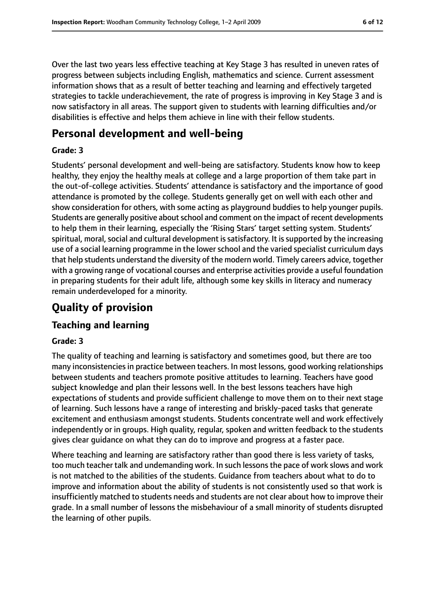Over the last two years less effective teaching at Key Stage 3 has resulted in uneven rates of progress between subjects including English, mathematics and science. Current assessment information shows that as a result of better teaching and learning and effectively targeted strategies to tackle underachievement, the rate of progress is improving in Key Stage 3 and is now satisfactory in all areas. The support given to students with learning difficulties and/or disabilities is effective and helps them achieve in line with their fellow students.

# **Personal development and well-being**

## **Grade: 3**

Students' personal development and well-being are satisfactory. Students know how to keep healthy, they enjoy the healthy meals at college and a large proportion of them take part in the out-of-college activities. Students' attendance is satisfactory and the importance of good attendance is promoted by the college. Students generally get on well with each other and show consideration for others, with some acting as playground buddies to help younger pupils. Students are generally positive about school and comment on the impact of recent developments to help them in their learning, especially the 'Rising Stars' target setting system. Students' spiritual, moral, social and cultural development is satisfactory. It is supported by the increasing use of a social learning programme in the lower school and the varied specialist curriculum days that help students understand the diversity of the modern world. Timely careers advice, together with a growing range of vocational courses and enterprise activities provide a useful foundation in preparing students for their adult life, although some key skills in literacy and numeracy remain underdeveloped for a minority.

# **Quality of provision**

## **Teaching and learning**

## **Grade: 3**

The quality of teaching and learning is satisfactory and sometimes good, but there are too many inconsistencies in practice between teachers. In most lessons, good working relationships between students and teachers promote positive attitudes to learning. Teachers have good subject knowledge and plan their lessons well. In the best lessons teachers have high expectations of students and provide sufficient challenge to move them on to their next stage of learning. Such lessons have a range of interesting and briskly-paced tasks that generate excitement and enthusiasm amongst students. Students concentrate well and work effectively independently or in groups. High quality, regular, spoken and written feedback to the students gives clear guidance on what they can do to improve and progress at a faster pace.

Where teaching and learning are satisfactory rather than good there is less variety of tasks, too much teacher talk and undemanding work. In such lessons the pace of work slows and work is not matched to the abilities of the students. Guidance from teachers about what to do to improve and information about the ability of students is not consistently used so that work is insufficiently matched to students needs and students are not clear about how to improve their grade. In a small number of lessons the misbehaviour of a small minority of students disrupted the learning of other pupils.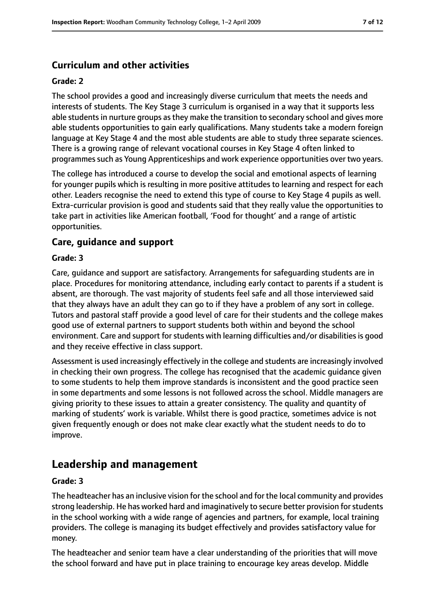## **Curriculum and other activities**

#### **Grade: 2**

The school provides a good and increasingly diverse curriculum that meets the needs and interests of students. The Key Stage 3 curriculum is organised in a way that it supports less able students in nurture groups as they make the transition to secondary school and gives more able students opportunities to gain early qualifications. Many students take a modern foreign language at Key Stage 4 and the most able students are able to study three separate sciences. There is a growing range of relevant vocational courses in Key Stage 4 often linked to programmes such as Young Apprenticeships and work experience opportunities over two years.

The college has introduced a course to develop the social and emotional aspects of learning for younger pupils which is resulting in more positive attitudes to learning and respect for each other. Leaders recognise the need to extend this type of course to Key Stage 4 pupils as well. Extra-curricular provision is good and students said that they really value the opportunities to take part in activities like American football, 'Food for thought' and a range of artistic opportunities.

#### **Care, guidance and support**

#### **Grade: 3**

Care, guidance and support are satisfactory. Arrangements for safeguarding students are in place. Procedures for monitoring attendance, including early contact to parents if a student is absent, are thorough. The vast majority of students feel safe and all those interviewed said that they always have an adult they can go to if they have a problem of any sort in college. Tutors and pastoral staff provide a good level of care for their students and the college makes good use of external partners to support students both within and beyond the school environment. Care and support for students with learning difficulties and/or disabilities is good and they receive effective in class support.

Assessment is used increasingly effectively in the college and students are increasingly involved in checking their own progress. The college has recognised that the academic guidance given to some students to help them improve standards is inconsistent and the good practice seen in some departments and some lessons is not followed across the school. Middle managers are giving priority to these issues to attain a greater consistency. The quality and quantity of marking of students' work is variable. Whilst there is good practice, sometimes advice is not given frequently enough or does not make clear exactly what the student needs to do to improve.

# **Leadership and management**

#### **Grade: 3**

The headteacher has an inclusive vision for the school and for the local community and provides strong leadership. He has worked hard and imaginatively to secure better provision forstudents in the school working with a wide range of agencies and partners, for example, local training providers. The college is managing its budget effectively and provides satisfactory value for money.

The headteacher and senior team have a clear understanding of the priorities that will move the school forward and have put in place training to encourage key areas develop. Middle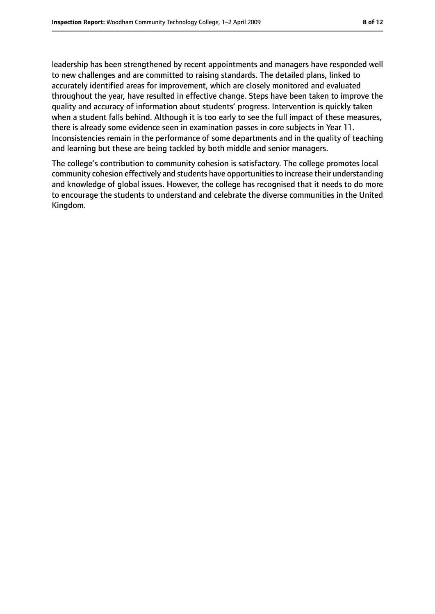leadership has been strengthened by recent appointments and managers have responded well to new challenges and are committed to raising standards. The detailed plans, linked to accurately identified areas for improvement, which are closely monitored and evaluated throughout the year, have resulted in effective change. Steps have been taken to improve the quality and accuracy of information about students' progress. Intervention is quickly taken when a student falls behind. Although it is too early to see the full impact of these measures, there is already some evidence seen in examination passes in core subjects in Year 11. Inconsistencies remain in the performance of some departments and in the quality of teaching and learning but these are being tackled by both middle and senior managers.

The college's contribution to community cohesion is satisfactory. The college promotes local community cohesion effectively and students have opportunitiesto increase their understanding and knowledge of global issues. However, the college has recognised that it needs to do more to encourage the students to understand and celebrate the diverse communities in the United Kingdom.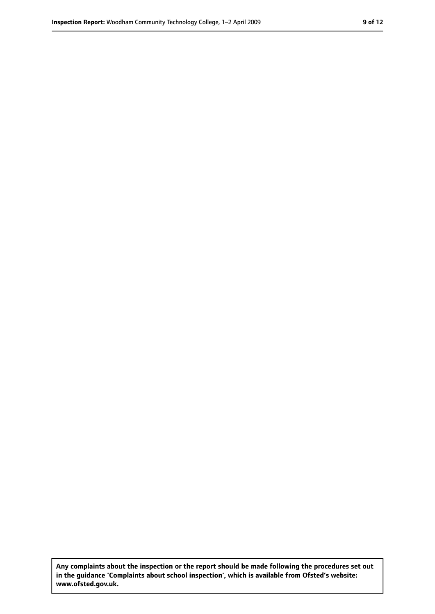**Any complaints about the inspection or the report should be made following the procedures set out in the guidance 'Complaints about school inspection', which is available from Ofsted's website: www.ofsted.gov.uk.**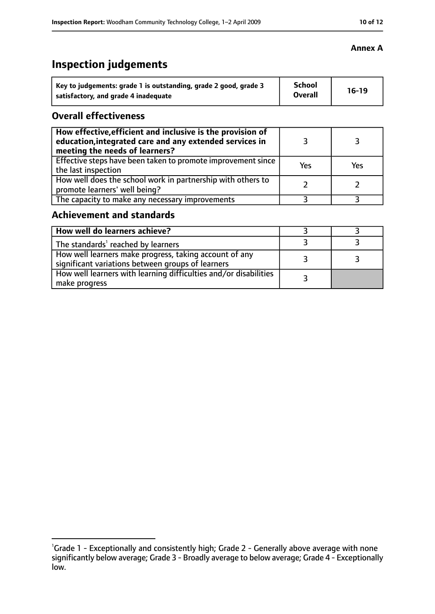#### **Annex A**

# **Inspection judgements**

| Key to judgements: grade 1 is outstanding, grade 2 good, grade 3 | <b>School</b><br><b>Overall</b> | $16-19$ |
|------------------------------------------------------------------|---------------------------------|---------|
| satisfactory, and grade 4 inadequate                             |                                 |         |

## **Overall effectiveness**

| How effective, efficient and inclusive is the provision of<br>education, integrated care and any extended services in<br>meeting the needs of learners? |     |     |
|---------------------------------------------------------------------------------------------------------------------------------------------------------|-----|-----|
| Effective steps have been taken to promote improvement since<br>the last inspection                                                                     | Yes | Yes |
| How well does the school work in partnership with others to<br>promote learners' well being?                                                            |     |     |
| The capacity to make any necessary improvements                                                                                                         |     |     |

## **Achievement and standards**

| How well do learners achieve?                                                                               |  |
|-------------------------------------------------------------------------------------------------------------|--|
| The standards <sup>1</sup> reached by learners                                                              |  |
| How well learners make progress, taking account of any<br>significant variations between groups of learners |  |
| How well learners with learning difficulties and/or disabilities<br>make progress                           |  |

<sup>&</sup>lt;sup>1</sup>Grade 1 - Exceptionally and consistently high; Grade 2 - Generally above average with none significantly below average; Grade 3 - Broadly average to below average; Grade 4 - Exceptionally low.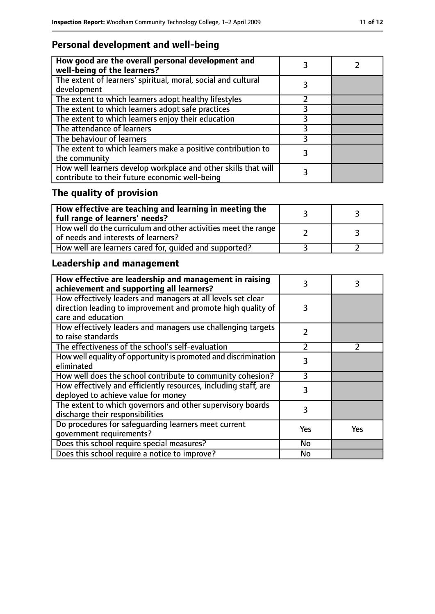# **Personal development and well-being**

| How good are the overall personal development and<br>well-being of the learners?                                 |  |
|------------------------------------------------------------------------------------------------------------------|--|
| The extent of learners' spiritual, moral, social and cultural<br>development                                     |  |
| The extent to which learners adopt healthy lifestyles                                                            |  |
| The extent to which learners adopt safe practices                                                                |  |
| The extent to which learners enjoy their education                                                               |  |
| The attendance of learners                                                                                       |  |
| The behaviour of learners                                                                                        |  |
| The extent to which learners make a positive contribution to<br>the community                                    |  |
| How well learners develop workplace and other skills that will<br>contribute to their future economic well-being |  |

# **The quality of provision**

| $\mid$ How effective are teaching and learning in meeting the<br>full range of learners' needs?       |  |
|-------------------------------------------------------------------------------------------------------|--|
| How well do the curriculum and other activities meet the range<br>of needs and interests of learners? |  |
| How well are learners cared for, quided and supported?                                                |  |

# **Leadership and management**

| How effective are leadership and management in raising<br>achievement and supporting all learners? | 3              | 3             |
|----------------------------------------------------------------------------------------------------|----------------|---------------|
| How effectively leaders and managers at all levels set clear                                       |                |               |
| direction leading to improvement and promote high quality of<br>care and education                 | 3              |               |
|                                                                                                    |                |               |
| How effectively leaders and managers use challenging targets                                       | $\mathcal{P}$  |               |
| to raise standards                                                                                 |                |               |
| The effectiveness of the school's self-evaluation                                                  | $\overline{2}$ | $\mathcal{P}$ |
| How well equality of opportunity is promoted and discrimination                                    | 3              |               |
| eliminated                                                                                         |                |               |
| How well does the school contribute to community cohesion?                                         | ξ              |               |
| How effectively and efficiently resources, including staff, are                                    | 3              |               |
| deployed to achieve value for money                                                                |                |               |
| The extent to which governors and other supervisory boards                                         | 3              |               |
| discharge their responsibilities                                                                   |                |               |
| Do procedures for safeguarding learners meet current                                               | Yes            | Yes           |
| qovernment requirements?                                                                           |                |               |
| Does this school require special measures?                                                         | <b>No</b>      |               |
| Does this school require a notice to improve?                                                      | No             |               |